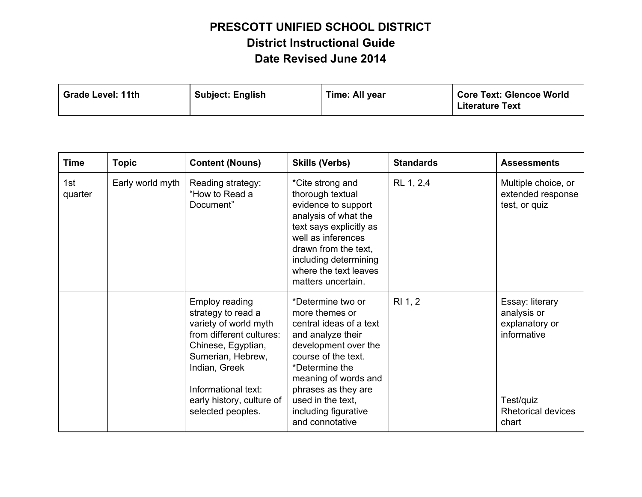| <b>Subject: English</b><br><b>Grade Level: 11th</b> | Time: All year | <b>Core Text: Glencoe World</b><br><b>Literature Text</b> |
|-----------------------------------------------------|----------------|-----------------------------------------------------------|
|-----------------------------------------------------|----------------|-----------------------------------------------------------|

| <b>Time</b>    | <b>Topic</b>     | <b>Content (Nouns)</b>                                                                                                                                                                                                                | <b>Skills (Verbs)</b>                                                                                                                                                                                                                                               | <b>Standards</b> | <b>Assessments</b>                                                                                                 |
|----------------|------------------|---------------------------------------------------------------------------------------------------------------------------------------------------------------------------------------------------------------------------------------|---------------------------------------------------------------------------------------------------------------------------------------------------------------------------------------------------------------------------------------------------------------------|------------------|--------------------------------------------------------------------------------------------------------------------|
| 1st<br>quarter | Early world myth | Reading strategy:<br>"How to Read a<br>Document"                                                                                                                                                                                      | *Cite strong and<br>thorough textual<br>evidence to support<br>analysis of what the<br>text says explicitly as<br>well as inferences<br>drawn from the text,<br>including determining<br>where the text leaves<br>matters uncertain.                                | RL 1, 2,4        | Multiple choice, or<br>extended response<br>test, or quiz                                                          |
|                |                  | <b>Employ reading</b><br>strategy to read a<br>variety of world myth<br>from different cultures:<br>Chinese, Egyptian,<br>Sumerian, Hebrew,<br>Indian, Greek<br>Informational text:<br>early history, culture of<br>selected peoples. | *Determine two or<br>more themes or<br>central ideas of a text<br>and analyze their<br>development over the<br>course of the text.<br>*Determine the<br>meaning of words and<br>phrases as they are<br>used in the text.<br>including figurative<br>and connotative | RI 1, 2          | Essay: literary<br>analysis or<br>explanatory or<br>informative<br>Test/quiz<br><b>Rhetorical devices</b><br>chart |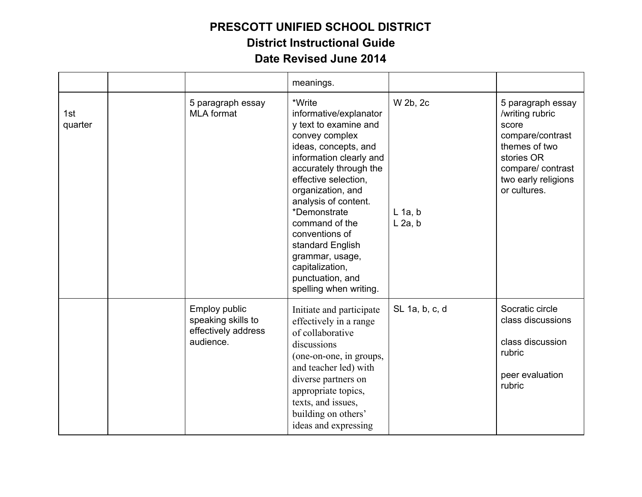|                |                                                                         | meanings.                                                                                                                                                                                                                                                                                                                                                                                 |                                    |                                                                                                                                                             |
|----------------|-------------------------------------------------------------------------|-------------------------------------------------------------------------------------------------------------------------------------------------------------------------------------------------------------------------------------------------------------------------------------------------------------------------------------------------------------------------------------------|------------------------------------|-------------------------------------------------------------------------------------------------------------------------------------------------------------|
| 1st<br>quarter | 5 paragraph essay<br><b>MLA</b> format                                  | *Write<br>informative/explanator<br>y text to examine and<br>convey complex<br>ideas, concepts, and<br>information clearly and<br>accurately through the<br>effective selection,<br>organization, and<br>analysis of content.<br>*Demonstrate<br>command of the<br>conventions of<br>standard English<br>grammar, usage,<br>capitalization,<br>punctuation, and<br>spelling when writing. | W 2b, 2c<br>$L$ 1a, b<br>$L$ 2a, b | 5 paragraph essay<br>/writing rubric<br>score<br>compare/contrast<br>themes of two<br>stories OR<br>compare/contrast<br>two early religions<br>or cultures. |
|                | Employ public<br>speaking skills to<br>effectively address<br>audience. | Initiate and participate<br>effectively in a range<br>of collaborative<br>discussions<br>(one-on-one, in groups,<br>and teacher led) with<br>diverse partners on<br>appropriate topics,<br>texts, and issues,<br>building on others'<br>ideas and expressing                                                                                                                              | SL 1a, b, c, d                     | Socratic circle<br>class discussions<br>class discussion<br>rubric<br>peer evaluation<br>rubric                                                             |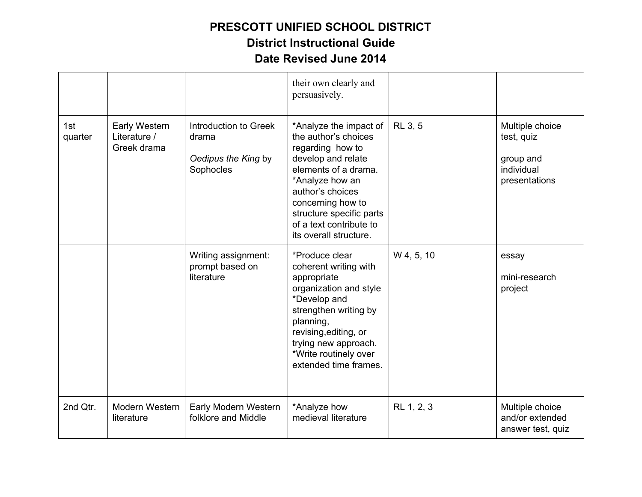|                |                                              |                                                                    | their own clearly and<br>persuasively.                                                                                                                                                                                                                        |                |                                                                           |
|----------------|----------------------------------------------|--------------------------------------------------------------------|---------------------------------------------------------------------------------------------------------------------------------------------------------------------------------------------------------------------------------------------------------------|----------------|---------------------------------------------------------------------------|
| 1st<br>quarter | Early Western<br>Literature /<br>Greek drama | Introduction to Greek<br>drama<br>Oedipus the King by<br>Sophocles | *Analyze the impact of<br>the author's choices<br>regarding how to<br>develop and relate<br>elements of a drama.<br>*Analyze how an<br>author's choices<br>concerning how to<br>structure specific parts<br>of a text contribute to<br>its overall structure. | <b>RL 3, 5</b> | Multiple choice<br>test, quiz<br>group and<br>individual<br>presentations |
|                |                                              | Writing assignment:<br>prompt based on<br>literature               | *Produce clear<br>coherent writing with<br>appropriate<br>organization and style<br>*Develop and<br>strengthen writing by<br>planning,<br>revising, editing, or<br>trying new approach.<br>*Write routinely over<br>extended time frames.                     | W 4, 5, 10     | essay<br>mini-research<br>project                                         |
| 2nd Qtr.       | Modern Western<br>literature                 | Early Modern Western<br>folklore and Middle                        | *Analyze how<br>medieval literature                                                                                                                                                                                                                           | RL 1, 2, 3     | Multiple choice<br>and/or extended<br>answer test, quiz                   |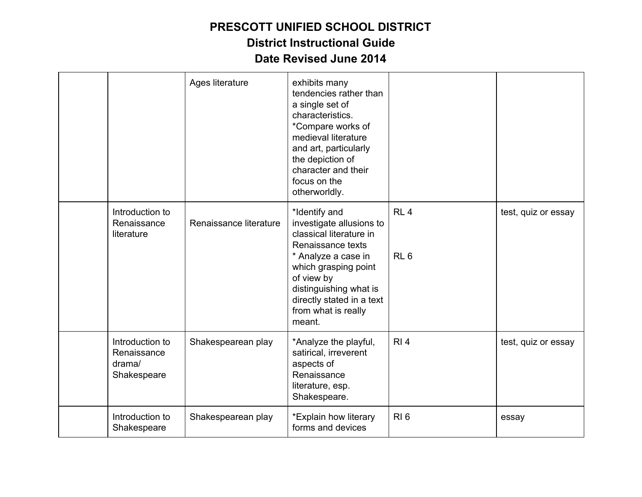|                                                         | Ages literature        | exhibits many<br>tendencies rather than<br>a single set of<br>characteristics.<br>*Compare works of<br>medieval literature<br>and art, particularly<br>the depiction of<br>character and their<br>focus on the<br>otherworldly.                |                                    |                     |
|---------------------------------------------------------|------------------------|------------------------------------------------------------------------------------------------------------------------------------------------------------------------------------------------------------------------------------------------|------------------------------------|---------------------|
| Introduction to<br>Renaissance<br>literature            | Renaissance literature | *Identify and<br>investigate allusions to<br>classical literature in<br>Renaissance texts<br>* Analyze a case in<br>which grasping point<br>of view by<br>distinguishing what is<br>directly stated in a text<br>from what is really<br>meant. | RL <sub>4</sub><br>RL <sub>6</sub> | test, quiz or essay |
| Introduction to<br>Renaissance<br>drama/<br>Shakespeare | Shakespearean play     | *Analyze the playful,<br>satirical, irreverent<br>aspects of<br>Renaissance<br>literature, esp.<br>Shakespeare.                                                                                                                                | R <sub>1</sub> 4                   | test, quiz or essay |
| Introduction to<br>Shakespeare                          | Shakespearean play     | *Explain how literary<br>forms and devices                                                                                                                                                                                                     | $RI_6$                             | essay               |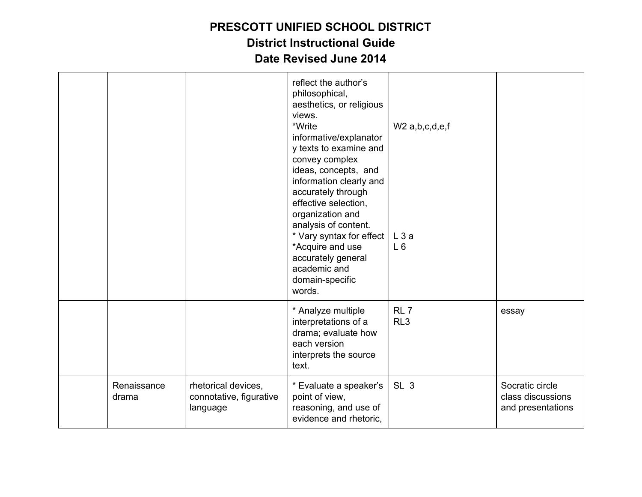|                      |                                                            | reflect the author's<br>philosophical,<br>aesthetics, or religious<br>views.<br>*Write<br>informative/explanator<br>y texts to examine and<br>convey complex<br>ideas, concepts, and<br>information clearly and<br>accurately through<br>effective selection,<br>organization and<br>analysis of content.<br>* Vary syntax for effect<br>*Acquire and use<br>accurately general<br>academic and<br>domain-specific<br>words. | $W2$ a,b,c,d,e,f<br>L3a<br>$L_6$   |                                                           |
|----------------------|------------------------------------------------------------|------------------------------------------------------------------------------------------------------------------------------------------------------------------------------------------------------------------------------------------------------------------------------------------------------------------------------------------------------------------------------------------------------------------------------|------------------------------------|-----------------------------------------------------------|
|                      |                                                            | * Analyze multiple<br>interpretations of a<br>drama; evaluate how<br>each version<br>interprets the source<br>text.                                                                                                                                                                                                                                                                                                          | RL <sub>7</sub><br>RL <sub>3</sub> | essay                                                     |
| Renaissance<br>drama | rhetorical devices,<br>connotative, figurative<br>language | * Evaluate a speaker's<br>point of view,<br>reasoning, and use of<br>evidence and rhetoric,                                                                                                                                                                                                                                                                                                                                  | SL <sub>3</sub>                    | Socratic circle<br>class discussions<br>and presentations |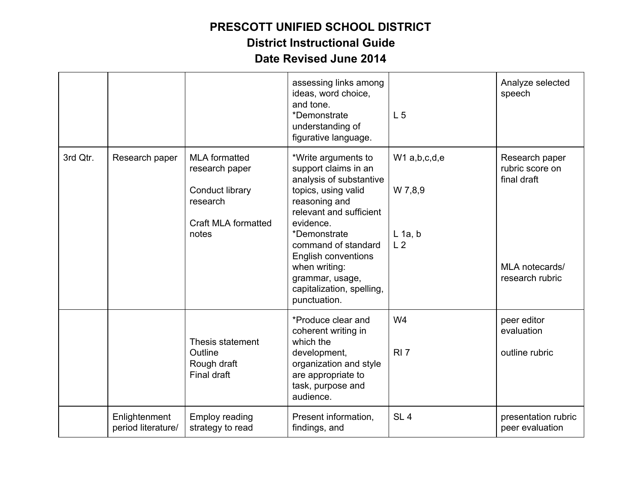|          |                                     |                                                                                                              | assessing links among<br>ideas, word choice,<br>and tone.<br>*Demonstrate<br>understanding of<br>figurative language.                                                                                                                                                                                        | L <sub>5</sub>                                           | Analyze selected<br>speech                                                            |
|----------|-------------------------------------|--------------------------------------------------------------------------------------------------------------|--------------------------------------------------------------------------------------------------------------------------------------------------------------------------------------------------------------------------------------------------------------------------------------------------------------|----------------------------------------------------------|---------------------------------------------------------------------------------------|
| 3rd Qtr. | Research paper                      | <b>MLA</b> formatted<br>research paper<br>Conduct library<br>research<br><b>Craft MLA formatted</b><br>notes | *Write arguments to<br>support claims in an<br>analysis of substantive<br>topics, using valid<br>reasoning and<br>relevant and sufficient<br>evidence.<br>*Demonstrate<br>command of standard<br><b>English conventions</b><br>when writing:<br>grammar, usage,<br>capitalization, spelling,<br>punctuation. | $W1$ a,b,c,d,e<br>W 7,8,9<br>$L$ 1a, b<br>L <sub>2</sub> | Research paper<br>rubric score on<br>final draft<br>MLA notecards/<br>research rubric |
|          |                                     | Thesis statement<br>Outline<br>Rough draft<br>Final draft                                                    | *Produce clear and<br>coherent writing in<br>which the<br>development,<br>organization and style<br>are appropriate to<br>task, purpose and<br>audience.                                                                                                                                                     | W <sub>4</sub><br>RI <sub>7</sub>                        | peer editor<br>evaluation<br>outline rubric                                           |
|          | Enlightenment<br>period literature/ | <b>Employ reading</b><br>strategy to read                                                                    | Present information,<br>findings, and                                                                                                                                                                                                                                                                        | SL <sub>4</sub>                                          | presentation rubric<br>peer evaluation                                                |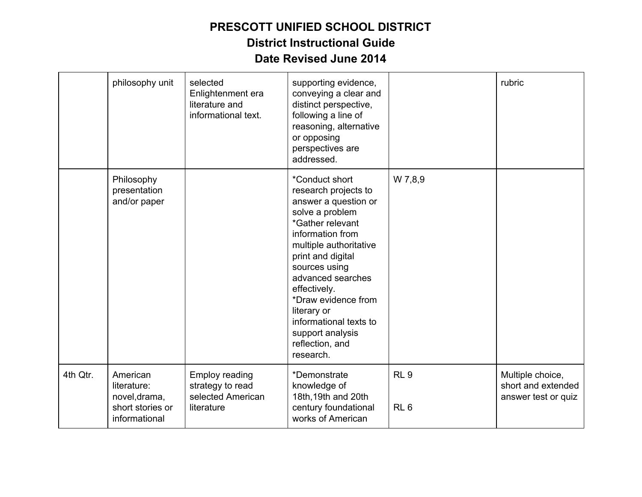|          | philosophy unit                                                               | selected<br>Enlightenment era<br>literature and<br>informational text.       | supporting evidence,<br>conveying a clear and<br>distinct perspective,<br>following a line of<br>reasoning, alternative<br>or opposing<br>perspectives are<br>addressed.                                                                                                                                                                           |                                    | rubric                                                        |
|----------|-------------------------------------------------------------------------------|------------------------------------------------------------------------------|----------------------------------------------------------------------------------------------------------------------------------------------------------------------------------------------------------------------------------------------------------------------------------------------------------------------------------------------------|------------------------------------|---------------------------------------------------------------|
|          | Philosophy<br>presentation<br>and/or paper                                    |                                                                              | *Conduct short<br>research projects to<br>answer a question or<br>solve a problem<br>*Gather relevant<br>information from<br>multiple authoritative<br>print and digital<br>sources using<br>advanced searches<br>effectively.<br>*Draw evidence from<br>literary or<br>informational texts to<br>support analysis<br>reflection, and<br>research. | W 7,8,9                            |                                                               |
| 4th Qtr. | American<br>literature:<br>novel, drama,<br>short stories or<br>informational | <b>Employ reading</b><br>strategy to read<br>selected American<br>literature | *Demonstrate<br>knowledge of<br>18th, 19th and 20th<br>century foundational<br>works of American                                                                                                                                                                                                                                                   | RL <sub>9</sub><br>RL <sub>6</sub> | Multiple choice,<br>short and extended<br>answer test or quiz |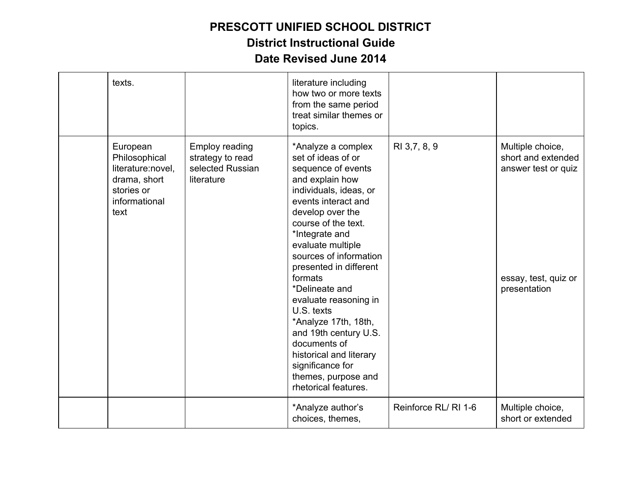| texts.                                                                                                |                                                                             | literature including<br>how two or more texts<br>from the same period<br>treat similar themes or<br>topics.                                                                                                                                                                                                                                                                                                                                                                                                 |                      |                                                                                                       |
|-------------------------------------------------------------------------------------------------------|-----------------------------------------------------------------------------|-------------------------------------------------------------------------------------------------------------------------------------------------------------------------------------------------------------------------------------------------------------------------------------------------------------------------------------------------------------------------------------------------------------------------------------------------------------------------------------------------------------|----------------------|-------------------------------------------------------------------------------------------------------|
| European<br>Philosophical<br>literature:novel,<br>drama, short<br>stories or<br>informational<br>text | <b>Employ reading</b><br>strategy to read<br>selected Russian<br>literature | *Analyze a complex<br>set of ideas of or<br>sequence of events<br>and explain how<br>individuals, ideas, or<br>events interact and<br>develop over the<br>course of the text.<br>*Integrate and<br>evaluate multiple<br>sources of information<br>presented in different<br>formats<br>*Delineate and<br>evaluate reasoning in<br>U.S. texts<br>*Analyze 17th, 18th,<br>and 19th century U.S.<br>documents of<br>historical and literary<br>significance for<br>themes, purpose and<br>rhetorical features. | RI 3,7, 8, 9         | Multiple choice,<br>short and extended<br>answer test or quiz<br>essay, test, quiz or<br>presentation |
|                                                                                                       |                                                                             | *Analyze author's<br>choices, themes,                                                                                                                                                                                                                                                                                                                                                                                                                                                                       | Reinforce RL/ RI 1-6 | Multiple choice,<br>short or extended                                                                 |